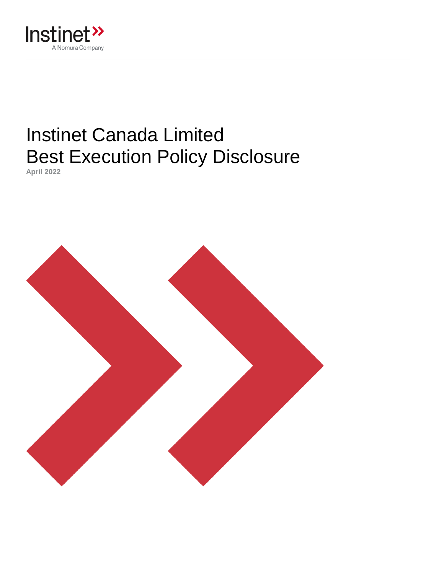

# Instinet Canada Limited Best Execution Policy Disclosure

**April 2022**

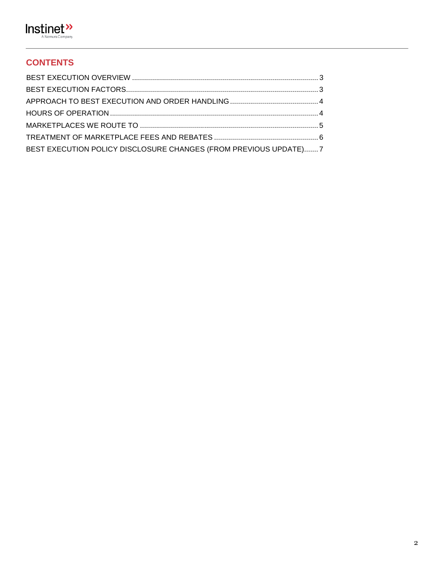

# **CONTENTS**

| BEST EXECUTION POLICY DISCLOSURE CHANGES (FROM PREVIOUS UPDATE) 7 |  |
|-------------------------------------------------------------------|--|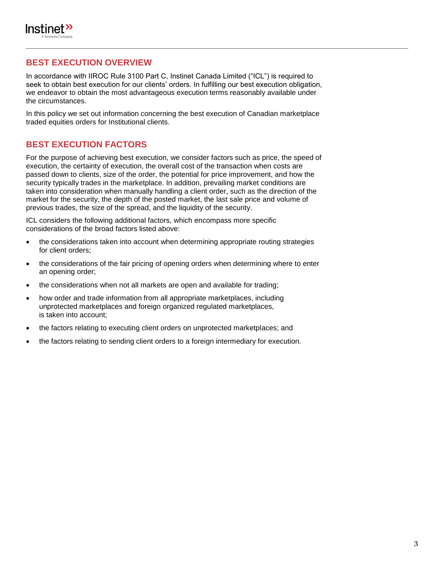

## <span id="page-2-0"></span>**BEST EXECUTION OVERVIEW**

In accordance with IIROC Rule 3100 Part C, Instinet Canada Limited ("ICL") is required to seek to obtain best execution for our clients' orders. In fulfilling our best execution obligation, we endeavor to obtain the most advantageous execution terms reasonably available under the circumstances.

In this policy we set out information concerning the best execution of Canadian marketplace traded equities orders for Institutional clients.

## <span id="page-2-1"></span>**BEST EXECUTION FACTORS**

For the purpose of achieving best execution, we consider factors such as price, the speed of execution, the certainty of execution, the overall cost of the transaction when costs are passed down to clients, size of the order, the potential for price improvement, and how the security typically trades in the marketplace. In addition, prevailing market conditions are taken into consideration when manually handling a client order, such as the direction of the market for the security, the depth of the posted market, the last sale price and volume of previous trades, the size of the spread, and the liquidity of the security.

ICL considers the following additional factors, which encompass more specific considerations of the broad factors listed above:

- the considerations taken into account when determining appropriate routing strategies for client orders;
- the considerations of the fair pricing of opening orders when determining where to enter an opening order;
- the considerations when not all markets are open and available for trading;
- how order and trade information from all appropriate marketplaces, including unprotected marketplaces and foreign organized regulated marketplaces, is taken into account;
- the factors relating to executing client orders on unprotected marketplaces; and
- the factors relating to sending client orders to a foreign intermediary for execution.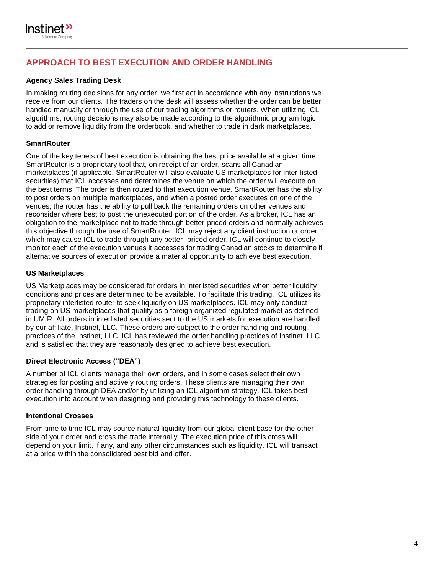

# <span id="page-3-0"></span>**APPROACH TO BEST EXECUTION AND ORDER HANDLING**

## <span id="page-3-1"></span>**Agency Sales Trading Desk**

In making routing decisions for any order, we first act in accordance with any instructions we receive from our clients. The traders on the desk will assess whether the order can be better handled manually or through the use of our trading algorithms or routers. When utilizing ICL algorithms, routing decisions may also be made according to the algorithmic program logic to add or remove liquidity from the orderbook, and whether to trade in dark marketplaces.

## **SmartRouter**

One of the key tenets of best execution is obtaining the best price available at a given time. SmartRouter is a proprietary tool that, on receipt of an order, scans all Canadian marketplaces (if applicable, SmartRouter will also evaluate US marketplaces for inter-listed securities) that ICL accesses and determines the venue on which the order will execute on the best terms. The order is then routed to that execution venue. SmartRouter has the ability to post orders on multiple marketplaces, and when a posted order executes on one of the venues, the router has the ability to pull back the remaining orders on other venues and reconsider where best to post the unexecuted portion of the order. As a broker, ICL has an obligation to the marketplace not to trade through better-priced orders and normally achieves this objective through the use of SmartRouter. ICL may reject any client instruction or order which may cause ICL to trade-through any better- priced order. ICL will continue to closely monitor each of the execution venues it accesses for trading Canadian stocks to determine if alternative sources of execution provide a material opportunity to achieve best execution.

#### **US Marketplaces**

US Marketplaces may be considered for orders in interlisted securities when better liquidity conditions and prices are determined to be available. To facilitate this trading, ICL utilizes its proprietary interlisted router to seek liquidity on US marketplaces. ICL may only conduct trading on US marketplaces that qualify as a foreign organized regulated market as defined in UMIR. All orders in interlisted securities sent to the US markets for execution are handled by our affiliate, Instinet, LLC. These orders are subject to the order handling and routing practices of the Instinet, LLC. ICL has reviewed the order handling practices of Instinet, LLC and is satisfied that they are reasonably designed to achieve best execution.

## **Direct Electronic Access ("DEA")**

A number of ICL clients manage their own orders, and in some cases select their own strategies for posting and actively routing orders. These clients are managing their own order handling through DEA and/or by utilizing an ICL algorithm strategy. ICL takes best execution into account when designing and providing this technology to these clients.

#### **Intentional Crosses**

From time to time ICL may source natural liquidity from our global client base for the other side of your order and cross the trade internally. The execution price of this cross will depend on your limit, if any, and any other circumstances such as liquidity. ICL will transact at a price within the consolidated best bid and offer.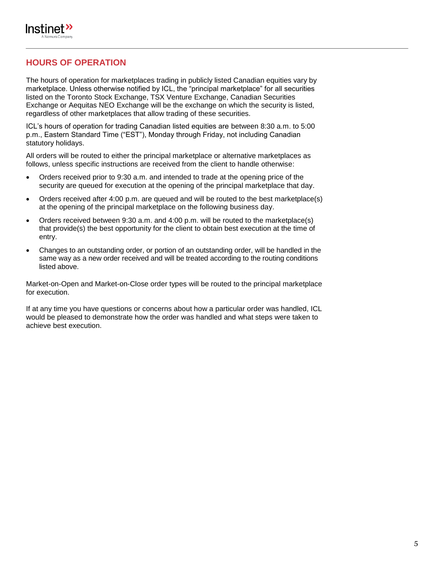

## **HOURS OF OPERATION**

<span id="page-4-0"></span>The hours of operation for marketplaces trading in publicly listed Canadian equities vary by marketplace. Unless otherwise notified by ICL, the "principal marketplace" for all securities listed on the Toronto Stock Exchange, TSX Venture Exchange, Canadian Securities Exchange or Aequitas NEO Exchange will be the exchange on which the security is listed, regardless of other marketplaces that allow trading of these securities.

ICL's hours of operation for trading Canadian listed equities are between 8:30 a.m. to 5:00 p.m., Eastern Standard Time ("EST"), Monday through Friday, not including Canadian statutory holidays.

All orders will be routed to either the principal marketplace or alternative marketplaces as follows, unless specific instructions are received from the client to handle otherwise:

- Orders received prior to 9:30 a.m. and intended to trade at the opening price of the security are queued for execution at the opening of the principal marketplace that day.
- Orders received after 4:00 p.m. are queued and will be routed to the best marketplace(s) at the opening of the principal marketplace on the following business day.
- Orders received between 9:30 a.m. and 4:00 p.m. will be routed to the marketplace(s) that provide(s) the best opportunity for the client to obtain best execution at the time of entry.
- Changes to an outstanding order, or portion of an outstanding order, will be handled in the same way as a new order received and will be treated according to the routing conditions listed above.

Market-on-Open and Market-on-Close order types will be routed to the principal marketplace for execution.

If at any time you have questions or concerns about how a particular order was handled, ICL would be pleased to demonstrate how the order was handled and what steps were taken to achieve best execution.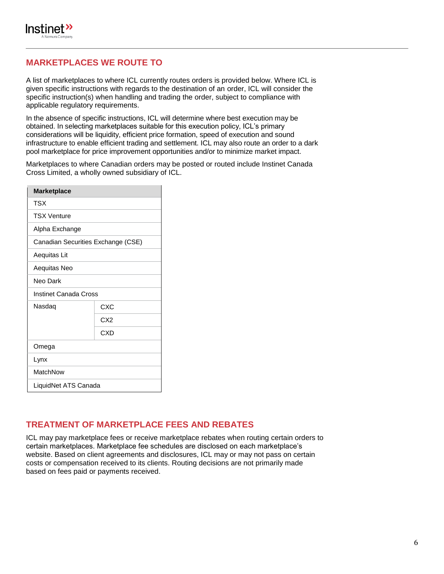

## **MARKETPLACES WE ROUTE TO**

A list of marketplaces to where ICL currently routes orders is provided below. Where ICL is given specific instructions with regards to the destination of an order, ICL will consider the specific instruction(s) when handling and trading the order, subject to compliance with applicable regulatory requirements.

In the absence of specific instructions, ICL will determine where best execution may be obtained. In selecting marketplaces suitable for this execution policy, ICL's primary considerations will be liquidity, efficient price formation, speed of execution and sound infrastructure to enable efficient trading and settlement. ICL may also route an order to a dark pool marketplace for price improvement opportunities and/or to minimize market impact.

Marketplaces to where Canadian orders may be posted or routed include Instinet Canada Cross Limited, a wholly owned subsidiary of ICL.

| <b>Marketplace</b>                 |                 |  |
|------------------------------------|-----------------|--|
| TSX                                |                 |  |
| <b>TSX Venture</b>                 |                 |  |
| Alpha Exchange                     |                 |  |
| Canadian Securities Exchange (CSE) |                 |  |
| Aequitas Lit                       |                 |  |
| Aequitas Neo                       |                 |  |
| Neo Dark                           |                 |  |
| Instinet Canada Cross              |                 |  |
| Nasdaq                             | <b>CXC</b>      |  |
|                                    | CX <sub>2</sub> |  |
|                                    | CXD             |  |
| Omega                              |                 |  |
| Lynx                               |                 |  |
| MatchNow                           |                 |  |
| LiquidNet ATS Canada               |                 |  |

## <span id="page-5-0"></span>**TREATMENT OF MARKETPLACE FEES AND REBATES**

ICL may pay marketplace fees or receive marketplace rebates when routing certain orders to certain marketplaces. Marketplace fee schedules are disclosed on each marketplace's website. Based on client agreements and disclosures, ICL may or may not pass on certain costs or compensation received to its clients. Routing decisions are not primarily made based on fees paid or payments received.